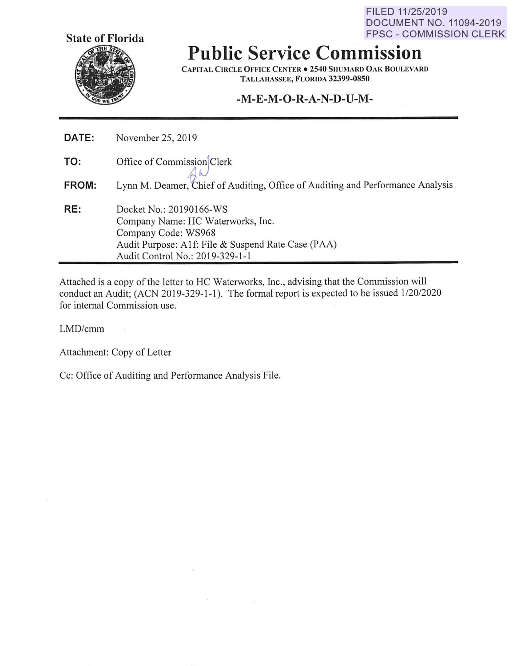FILED 11/25/2019 DOCUMENT NO. 11094-2019 FPSC - COMMISSION CLERK



**Public Service Commission** 

**CAPITAL CIRCLE OFFICE CENTER• 2540 SHUMARD OAK BOULEVARD TALLAHASSEE, FLORIDA 32399-0850** 

## **-M-E-M-O-R-A-N-D-U-M-**

| DATE: | November 25, 2019                                                                                                                                                            |
|-------|------------------------------------------------------------------------------------------------------------------------------------------------------------------------------|
| TO:   | Office of Commission Clerk                                                                                                                                                   |
| FROM: | Lynn M. Deamer, Chief of Auditing, Office of Auditing and Performance Analysis                                                                                               |
| RE:   | Docket No.: 20190166-WS<br>Company Name: HC Waterworks, Inc.<br>Company Code: WS968<br>Audit Purpose: A1f: File & Suspend Rate Case (PAA)<br>Audit Control No.: 2019-329-1-1 |

Attached is a copy of the letter to HC Waterworks, Inc., advising that the Commission will conduct an Audit; (ACN 2019-329-1-1). The formal report is expected to be issued 1/20/2020 for internal Commission use.

LMD/cmm

Attachment: Copy of Letter

 $\sim$ 

Cc: Office of Auditing and Performance Analysis File.